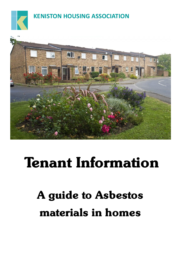

# **KENISTON HOUSING ASSOCIATION**



# **Tenant Information**

# **A guide to Asbestos materials in homes**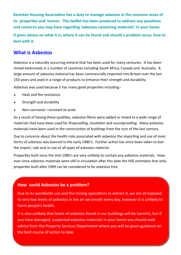**Keniston Housing Association has a duty to manage asbestos in the common areas of its properties and homes. This leaflet has been produced to address any questions and concerns you may have regarding 'asbestos containing materials' in your home. It gives advice on what it is, where it can be found and should a problem occur, how to deal with it.**

## **What is Asbestos**

Asbestos is a naturally occurring mineral that has been used for many centuries. It has been mined extensively in a number of countries including South Africa, Canada and Australia. A large amount of asbestos material has been commercially imported into Britain over the last 150 years and used in a range of products to enhance their strength and durability.

Asbestos was used because it has many good properties including:-

- $\leftarrow$  Heat and fire resistance
- **\*** Strength and durability
- Non-corrosive—resistant to acids

As a result of having these qualities, asbestos fibres were added or mixed to a wide range of materials that have been used for fireproofing, insulation and soundproofing. Many asbestos materials have been used in the construction of buildings from the turn of the last century.

Due to concerns about the health risks associated with asbestos the importing and use of most forms of asbestos was banned in the early 1980's. Further action has since been taken to ban the import, sale and re-use of all types of asbestos material.

Properties built since the mid-1980's are very unlikely to contain any asbestos materials. However since asbestos materials were still in circulation after this date the HSE estimates that only properties built after 1999 can be considered to be asbestos free.

### **How could Asbestos be a problem?**

Due to its worldwide use and the mining operations to extract it, we are all exposed to very low levels of asbestos in the air we breath every day, however it is unlikely to harm people's health.

It is also unlikely that levels of asbestos found in our buildings will be harmful, but if you have damaged, suspected asbestos materials in your home you should seek advice from the Property Services Department where you will be given guidance on the best course of action to take.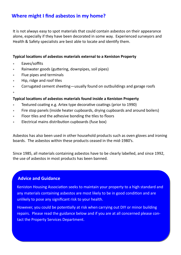# **Where might I find asbestos in my home?**

It is not always easy to spot materials that could contain asbestos on their appearance alone, especially if they have been decorated in some way. Experienced surveyors and Health & Safety specialists are best able to locate and identify them.

#### **Typical locations of asbestos materials external to a Keniston Property**

- Eaves/soffits
- Rainwater goods (guttering, downpipes, soil pipes)
- Flue pipes and terminals
- Hip, ridge and roof tiles
- Corrugated cement sheeting—usually found on outbuildings and garage roofs

ł

#### **Typical locations of asbestos materials found inside a Keniston Property**

- Textured coating e.g. Artex type decorative coatings (prior to 1990)
- Fire stop panels (inside heater cupboards, drying cupboards and around boilers)
- Floor tiles and the adhesive bonding the tiles to floors
- Electrical mains distribution cupboards (fuse box)

Asbestos has also been used in other household products such as oven gloves and ironing boards. The asbestos within these products ceased in the mid-1980's.

Since 1985, all materials containing asbestos have to be clearly labelled, and since 1992, the use of asbestos in most products has been banned.

#### **Advice and Guidance**

Keniston Housing Association seeks to maintain your property to a high standard and any materials containing asbestos are most likely to be in good condition and are unlikely to pose any significant risk to your health.

However, you could be potentially at risk when carrying out DIY or minor building repairs. Please read the guidance below and if you are at all concerned please contact the Property Services Department.